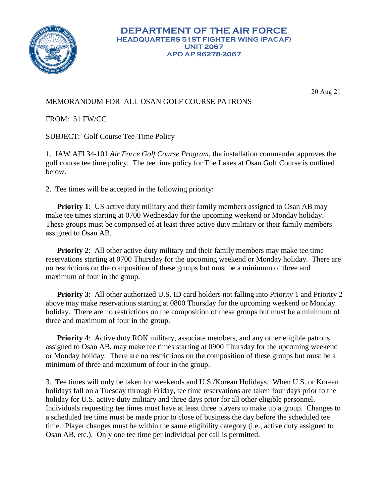

20 Aug 21

## MEMORANDUM FOR ALL OSAN GOLF COURSE PATRONS

FROM: 51 FW/CC

SUBJECT: Golf Course Tee-Time Policy

1. IAW AFI 34-101 *Air Force Golf Course Program*, the installation commander approves the golf course tee time policy. The tee time policy for The Lakes at Osan Golf Course is outlined below.

2. Tee times will be accepted in the following priority:

**Priority 1:** US active duty military and their family members assigned to Osan AB may make tee times starting at 0700 Wednesday for the upcoming weekend or Monday holiday. These groups must be comprised of at least three active duty military or their family members assigned to Osan AB.

**Priority 2**: All other active duty military and their family members may make tee time reservations starting at 0700 Thursday for the upcoming weekend or Monday holiday. There are no restrictions on the composition of these groups but must be a minimum of three and maximum of four in the group.

**Priority 3:** All other authorized U.S. ID card holders not falling into Priority 1 and Priority 2 above may make reservations starting at 0800 Thursday for the upcoming weekend or Monday holiday. There are no restrictions on the composition of these groups but must be a minimum of three and maximum of four in the group.

**Priority 4**: Active duty ROK military, associate members, and any other eligible patrons assigned to Osan AB, may make tee times starting at 0900 Thursday for the upcoming weekend or Monday holiday. There are no restrictions on the composition of these groups but must be a minimum of three and maximum of four in the group.

3. Tee times will only be taken for weekends and U.S./Korean Holidays. When U.S. or Korean holidays fall on a Tuesday through Friday, tee time reservations are taken four days prior to the holiday for U.S. active duty military and three days prior for all other eligible personnel. Individuals requesting tee times must have at least three players to make up a group. Changes to a scheduled tee time must be made prior to close of business the day before the scheduled tee time. Player changes must be within the same eligibility category (i.e., active duty assigned to Osan AB, etc.). Only one tee time per individual per call is permitted.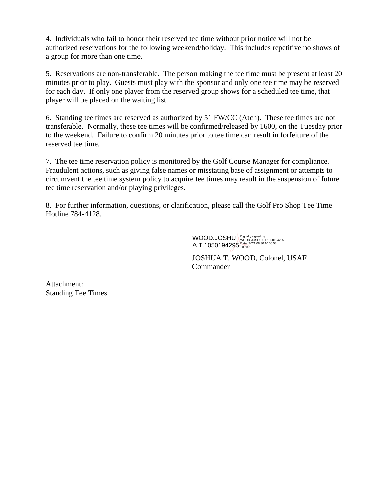4. Individuals who fail to honor their reserved tee time without prior notice will not be authorized reservations for the following weekend/holiday. This includes repetitive no shows of a group for more than one time.

5. Reservations are non-transferable. The person making the tee time must be present at least 20 minutes prior to play. Guests must play with the sponsor and only one tee time may be reserved for each day. If only one player from the reserved group shows for a scheduled tee time, that player will be placed on the waiting list.

6. Standing tee times are reserved as authorized by 51 FW/CC (Atch). These tee times are not transferable. Normally, these tee times will be confirmed/released by 1600, on the Tuesday prior to the weekend. Failure to confirm 20 minutes prior to tee time can result in forfeiture of the reserved tee time.

7. The tee time reservation policy is monitored by the Golf Course Manager for compliance. Fraudulent actions, such as giving false names or misstating base of assignment or attempts to circumvent the tee time system policy to acquire tee times may result in the suspension of future tee time reservation and/or playing privileges.

8. For further information, questions, or clarification, please call the Golf Pro Shop Tee Time Hotline 784-4128.

> WOOD.JOSHU WOOD.JOSHUA.T.1050194295 A.T.1050194295 **Date: 2021.08.30 10:56:53**

JOSHUA T. WOOD, Colonel, USAF **Commander** 

Attachment: Standing Tee Times